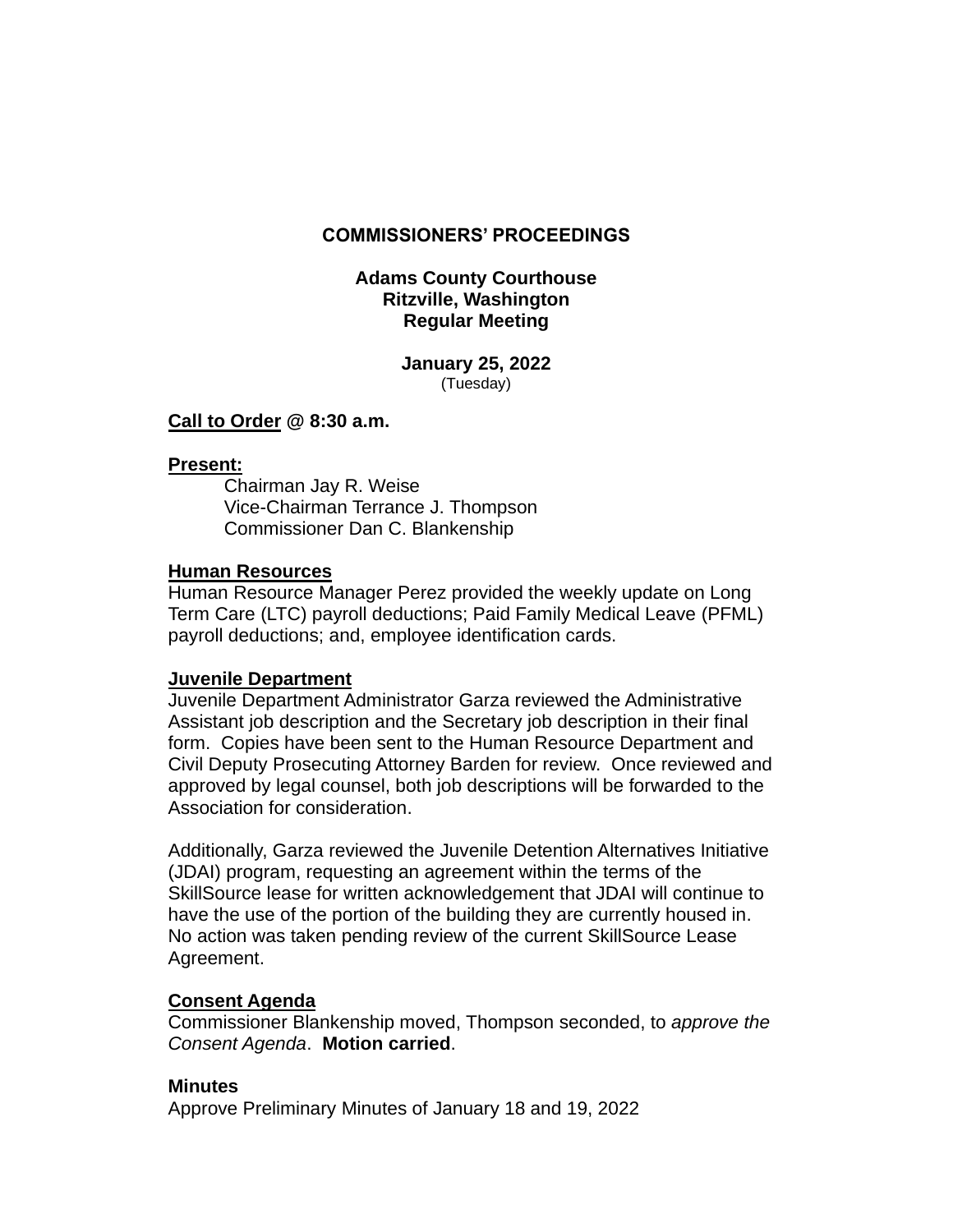### **COMMISSIONERS' PROCEEDINGS**

# **Adams County Courthouse Ritzville, Washington Regular Meeting**

**January 25, 2022** (Tuesday)

### **Call to Order @ 8:30 a.m.**

#### **Present:**

Chairman Jay R. Weise Vice-Chairman Terrance J. Thompson Commissioner Dan C. Blankenship

### **Human Resources**

Human Resource Manager Perez provided the weekly update on Long Term Care (LTC) payroll deductions; Paid Family Medical Leave (PFML) payroll deductions; and, employee identification cards.

#### **Juvenile Department**

Juvenile Department Administrator Garza reviewed the Administrative Assistant job description and the Secretary job description in their final form. Copies have been sent to the Human Resource Department and Civil Deputy Prosecuting Attorney Barden for review. Once reviewed and approved by legal counsel, both job descriptions will be forwarded to the Association for consideration.

Additionally, Garza reviewed the Juvenile Detention Alternatives Initiative (JDAI) program, requesting an agreement within the terms of the SkillSource lease for written acknowledgement that JDAI will continue to have the use of the portion of the building they are currently housed in. No action was taken pending review of the current SkillSource Lease Agreement.

### **Consent Agenda**

Commissioner Blankenship moved, Thompson seconded, to *approve the Consent Agenda*. **Motion carried**.

#### **Minutes**

Approve Preliminary Minutes of January 18 and 19, 2022